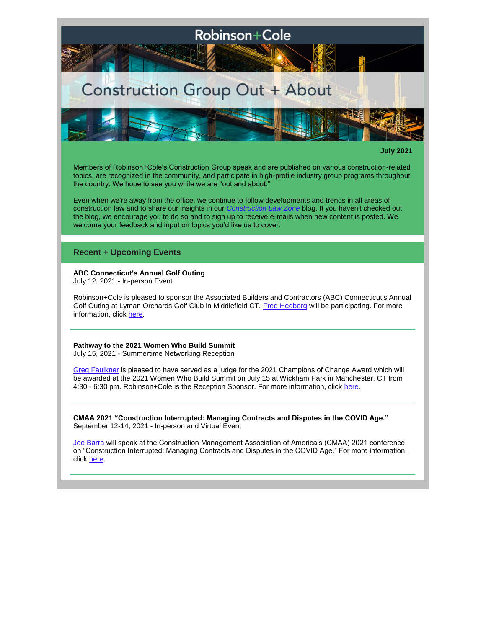

**July 2021**

Members of Robinson+Cole's Construction Group speak and are published on various construction-related topics, are recognized in the community, and participate in high-profile industry group programs throughout the country. We hope to see you while we are "out and about."

Even when we're away from the office, we continue to follow developments and trends in all areas of construction law and to share our insights in our *[Construction Law Zone](https://www.constructionlawzone.com/)* blog. If you haven't checked out the blog, we encourage you to do so and to sign up to receive e-mails when new content is posted. We welcome your feedback and input on topics you'd like us to cover.

## **Recent + Upcoming Events**

### **ABC Connecticut's Annual Golf Outing** July 12, 2021 - In-person Event

Robinson+Cole is pleased to sponsor the Associated Builders and Contractors (ABC) Connecticut's Annual Golf Outing at Lyman Orchards Golf Club in Middlefield CT. [Fred Hedberg](http://www.rc.com/people/FrederickHedberg.cfm) will be participating. For more information, click [here.](http://www.rc.com/events/abc-connecticuts-lyman-golf-outing.cfm)

# **Pathway to the 2021 Women Who Build Summit**

July 15, 2021 - Summertime Networking Reception

[Greg Faulkner](http://www.rc.com/people/GregoryRFaulkner.cfm) is pleased to have served as a judge for the 2021 Champions of Change Award which will be awarded at the 2021 Women Who Build Summit on July 15 at Wickham Park in Manchester, CT from 4:30 - 6:30 pm. Robinson+Cole is the Reception Sponsor. For more information, click [here.](https://www.construction.org/2021-pathway-to-the-women-who-build-summit.html)

**CMAA 2021 "Construction Interrupted: Managing Contracts and Disputes in the COVID Age."** September 12-14, 2021 - In-person and Virtual Event

[Joe Barra](http://www.rc.com/people/JosephABarra.cfm) will speak at the Construction Management Association of America's (CMAA) 2021 conference on "Construction Interrupted: Managing Contracts and Disputes in the COVID Age." For more information, click [here.](https://www.cmaanet.org/cmaa2021)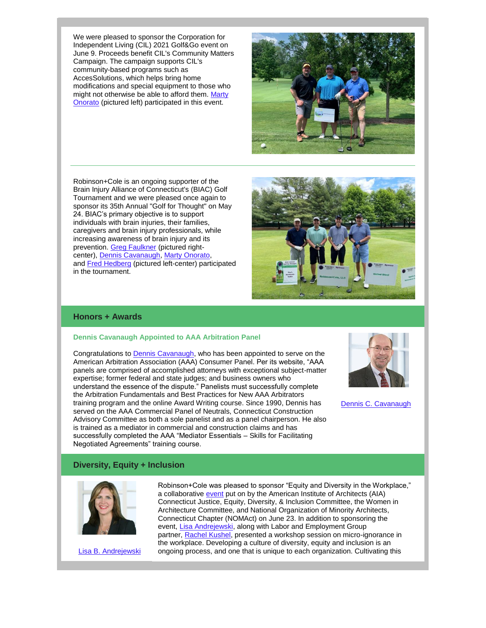We were pleased to sponsor the Corporation for Independent Living (CIL) 2021 Golf&Go event on June 9. Proceeds benefit CIL's Community Matters Campaign. The campaign supports CIL's community-based programs such as AccesSolutions, which helps bring home modifications and special equipment to those who might not otherwise be able to afford them. [Marty](http://www.rc.com/people/MartinAOnorato.cfm)  [Onorato](http://www.rc.com/people/MartinAOnorato.cfm) (pictured left) participated in this event.



Robinson+Cole is an ongoing supporter of the Brain Injury Alliance of Connecticut's (BIAC) Golf Tournament and we were pleased once again to sponsor its 35th Annual "Golf for Thought" on May 24. BIAC's primary objective is to support individuals with brain injuries, their families, caregivers and brain injury professionals, while increasing awareness of brain injury and its prevention. [Greg Faulkner](http://www.rc.com/people/GregoryRFaulkner.cfm) (pictured rightcenter), [Dennis Cavanaugh,](http://www.rc.com/people/DennisCCavanaugh.cfm) [Marty Onorato,](http://www.rc.com/people/MartinAOnorato.cfm) and [Fred Hedberg](http://www.rc.com/people/FrederickHedberg.cfm) (pictured left-center) participated in the tournament.

# **Honors + Awards**

### **Dennis Cavanaugh Appointed to AAA Arbitration Panel**

Congratulations to [Dennis Cavanaugh,](http://www.rc.com/people/DennisCCavanaugh.cfm) who has been appointed to serve on the American Arbitration Association (AAA) Consumer Panel. Per its website, "AAA panels are comprised of accomplished attorneys with exceptional subject-matter expertise; former federal and state judges; and business owners who understand the essence of the dispute." Panelists must successfully complete the Arbitration Fundamentals and Best Practices for New AAA Arbitrators training program and the online Award Writing course. Since 1990, Dennis has served on the AAA Commercial Panel of Neutrals, Connecticut Construction Advisory Committee as both a sole panelist and as a panel chairperson. He also is trained as a mediator in commercial and construction claims and has successfully completed the AAA "Mediator Essentials – Skills for Facilitating Negotiated Agreements" training course.



[Dennis C. Cavanaugh](http://www.rc.com/people/DennisCCavanaugh.cfm)

## **Diversity, Equity + Inclusion**



[Lisa B. Andrejewski](http://www.rc.com/people/LisaBAndrzejewski.cfm)

Robinson+Cole was pleased to sponsor "Equity and Diversity in the Workplace," a collaborative [event](https://aiact.org/events/#!event/2021/6/23/j-e-d-i-symposium) put on by the American Institute of Architects (AIA) Connecticut Justice, Equity, Diversity, & Inclusion Committee, the Women in Architecture Committee, and National Organization of Minority Architects, Connecticut Chapter (NOMAct) on June 23. In addition to sponsoring the event, [Lisa Andrejewski,](http://www.rc.com/people/LisaBAndrzejewski.cfm) along with Labor and Employment Group partner, [Rachel Kushel,](http://www.rc.com/people/RachelVKushel.cfm) presented a workshop session on micro-ignorance in the workplace. Developing a culture of diversity, equity and inclusion is an ongoing process, and one that is unique to each organization. Cultivating this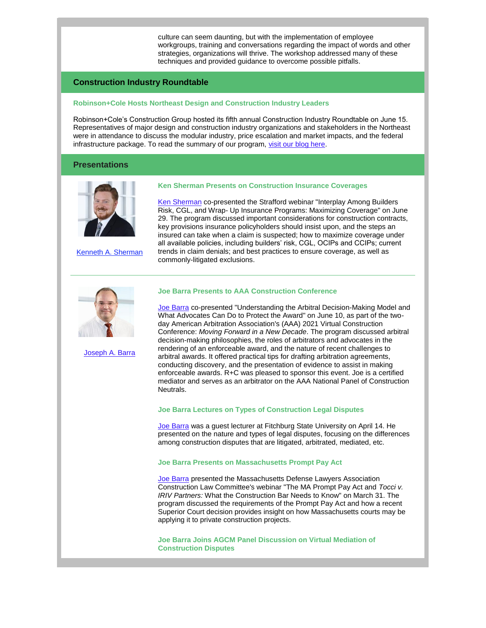culture can seem daunting, but with the implementation of employee workgroups, training and conversations regarding the impact of words and other strategies, organizations will thrive. The workshop addressed many of these techniques and provided guidance to overcome possible pitfalls.

## **Construction Industry Roundtable**

### **Robinson+Cole Hosts Northeast Design and Construction Industry Leaders**

Robinson+Cole's Construction Group hosted its fifth annual Construction Industry Roundtable on June 15. Representatives of major design and construction industry organizations and stakeholders in the Northeast were in attendance to discuss the modular industry, price escalation and market impacts, and the federal infrastructure package. To read the summary of our program, [visit our blog here.](https://www.constructionlawzone.com/2021/07/robinsoncole-hosts-fifth-construction-industry-roundtable/)

#### **Presentations**



[Kenneth A. Sherman](http://www.rc.com/people/KennethASherman.cfm)

#### **Ken Sherman Presents on Construction Insurance Coverages**

[Ken Sherman](http://www.rc.com/people/KennethASherman.cfm) co-presented the Strafford webinar "Interplay Among Builders Risk, CGL, and Wrap- Up Insurance Programs: Maximizing Coverage" on June 29. The program discussed important considerations for construction contracts, key provisions insurance policyholders should insist upon, and the steps an insured can take when a claim is suspected; how to maximize coverage under all available policies, including builders' risk, CGL, OCIPs and CCIPs; current trends in claim denials; and best practices to ensure coverage, as well as commonly-litigated exclusions.



[Joseph A. Barra](http://www.rc.com/people/JosephABarra.cfm)

## **Joe Barra Presents to AAA Construction Conference**

[Joe Barra](http://www.rc.com/people/JosephABarra.cfm) co-presented "Understanding the Arbitral Decision-Making Model and What Advocates Can Do to Protect the Award" on June 10, as part of the twoday American Arbitration Association's (AAA) 2021 Virtual Construction Conference: *Moving Forward in a New Decade*. The program discussed arbitral decision-making philosophies, the roles of arbitrators and advocates in the rendering of an enforceable award, and the nature of recent challenges to arbitral awards. It offered practical tips for drafting arbitration agreements, conducting discovery, and the presentation of evidence to assist in making enforceable awards. R+C was pleased to sponsor this event. Joe is a certified mediator and serves as an arbitrator on the AAA National Panel of Construction Neutrals.

#### **Joe Barra Lectures on Types of Construction Legal Disputes**

[Joe Barra](http://www.rc.com/people/JosephABarra.cfm) was a guest lecturer at Fitchburg State University on April 14. He presented on the nature and types of legal disputes, focusing on the differences among construction disputes that are litigated, arbitrated, mediated, etc.

### **Joe Barra Presents on Massachusetts Prompt Pay Act**

[Joe Barra](http://www.rc.com/people/JosephABarra.cfm) presented the Massachusetts Defense Lawyers Association Construction Law Committee's webinar "The MA Prompt Pay Act and *Tocci v. IRIV Partners:* What the Construction Bar Needs to Know" on March 31. The program discussed the requirements of the Prompt Pay Act and how a recent Superior Court decision provides insight on how Massachusetts courts may be applying it to private construction projects.

**Joe Barra Joins AGCM Panel Discussion on Virtual Mediation of Construction Disputes**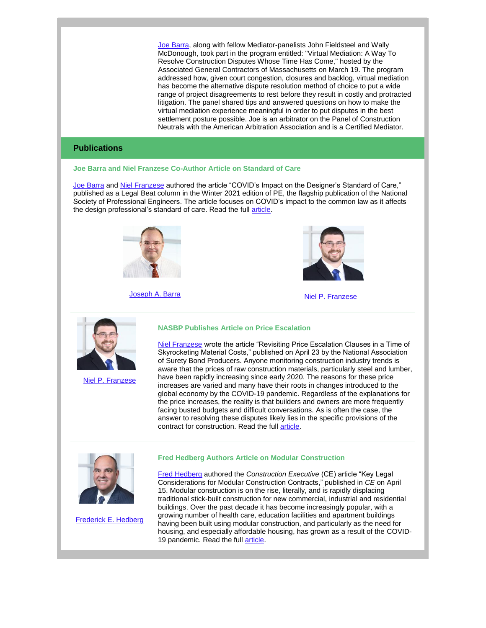[Joe Barra,](http://www.rc.com/people/JosephABarra.cfm) along with fellow Mediator-panelists John Fieldsteel and Wally McDonough, took part in the program entitled: "Virtual Mediation: A Way To Resolve Construction Disputes Whose Time Has Come," hosted by the Associated General Contractors of Massachusetts on March 19. The program addressed how, given court congestion, closures and backlog, virtual mediation has become the alternative dispute resolution method of choice to put a wide range of project disagreements to rest before they result in costly and protracted litigation. The panel shared tips and answered questions on how to make the virtual mediation experience meaningful in order to put disputes in the best settlement posture possible. Joe is an arbitrator on the Panel of Construction Neutrals with the American Arbitration Association and is a Certified Mediator.

# **Publications**

**Joe Barra and Niel Franzese Co-Author Article on Standard of Care**

[Joe Barra](http://www.rc.com/people/JosephABarra.cfm) and [Niel Franzese](http://www.rc.com/people/AnielloPFranzese.cfm) authored the article "COVID's Impact on the Designer's Standard of Care," published as a Legal Beat column in the Winter 2021 edition of PE, the flagship publication of the National Society of Professional Engineers. The article focuses on COVID's impact to the common law as it affects the design professional's standard of care. Read the full [article.](http://www.rc.com/upload/REPRINT_PE-Winter-2021_COVID-S-Impact-on-the-Designers-Standard-of-Care_Barra-Franzese.pdf)



[Joseph A. Barra](http://www.rc.com/people/JosephABarra.cfm) [Niel P. Franzese](http://www.rc.com/people/AnielloPFranzese.cfm)





[Niel P. Franzese](http://www.rc.com/people/AnielloPFranzese.cfm)

#### **NASBP Publishes Article on Price Escalation**

[Niel Franzese](http://www.rc.com/people/AnielloPFranzese.cfm) wrote the article "Revisiting Price Escalation Clauses in a Time of Skyrocketing Material Costs," published on April 23 by the National Association of Surety Bond Producers. Anyone monitoring construction industry trends is aware that the prices of raw construction materials, particularly steel and lumber, have been rapidly increasing since early 2020. The reasons for these price increases are varied and many have their roots in changes introduced to the global economy by the COVID-19 pandemic. Regardless of the explanations for the price increases, the reality is that builders and owners are more frequently facing busted budgets and difficult conversations. As is often the case, the answer to resolving these disputes likely lies in the specific provisions of the contract for construction. Read the full [article.](https://www.nasbp.org/blogs/mark-mccallum/2021/04/28/revisiting-price-escalation-clauses-in-a-time-of-s)



[Frederick E. Hedberg](http://www.rc.com/people/FrederickHedberg.cfm)

#### **Fred Hedberg Authors Article on Modular Construction**

[Fred Hedberg](http://www.rc.com/people/FrederickHedberg.cfm) authored the *Construction Executive* (CE) article "Key Legal Considerations for Modular Construction Contracts," published in *CE* on April 15. Modular construction is on the rise, literally, and is rapidly displacing traditional stick-built construction for new commercial, industrial and residential buildings. Over the past decade it has become increasingly popular, with a growing number of health care, education facilities and apartment buildings having been built using modular construction, and particularly as the need for housing, and especially affordable housing, has grown as a result of the COVID19 pandemic. Read the full [article.](https://www.constructionexec.com/article/key-legal-considerations-for-modular-construction-contracts)